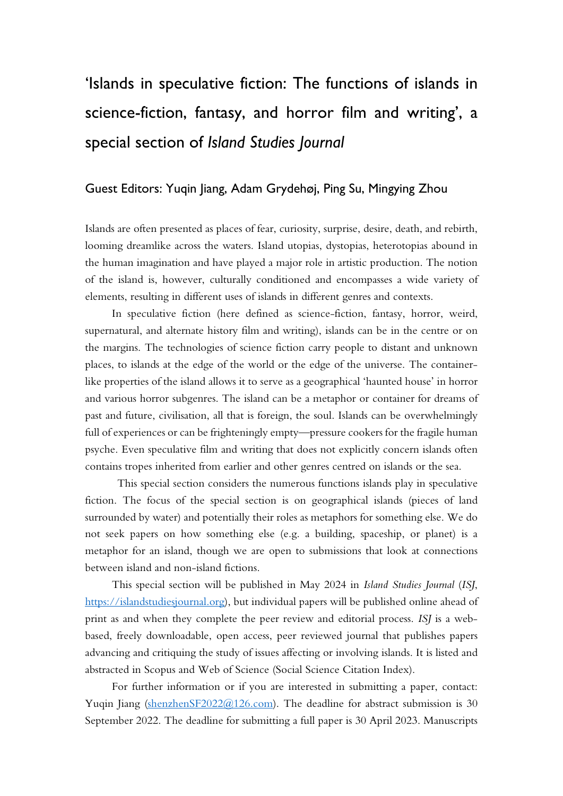## 'Islands in speculative fiction: The functions of islands in science-fiction, fantasy, and horror film and writing', a special section of *Island Studies Journal*

## Guest Editors: Yuqin Jiang, Adam Grydehøj, Ping Su, Mingying Zhou

Islands are often presented as places of fear, curiosity, surprise, desire, death, and rebirth, looming dreamlike across the waters. Island utopias, dystopias, heterotopias abound in the human imagination and have played a major role in artistic production. The notion of the island is, however, culturally conditioned and encompasses a wide variety of elements, resulting in different uses of islands in different genres and contexts.

In speculative fiction (here defined as science-fiction, fantasy, horror, weird, supernatural, and alternate history film and writing), islands can be in the centre or on the margins. The technologies of science fiction carry people to distant and unknown places, to islands at the edge of the world or the edge of the universe. The containerlike properties of the island allows it to serve as a geographical 'haunted house' in horror and various horror subgenres. The island can be a metaphor or container for dreams of past and future, civilisation, all that is foreign, the soul. Islands can be overwhelmingly full of experiences or can be frighteningly empty—pressure cookers for the fragile human psyche. Even speculative film and writing that does not explicitly concern islands often contains tropes inherited from earlier and other genres centred on islands or the sea.

This special section considers the numerous functions islands play in speculative fiction. The focus of the special section is on geographical islands (pieces of land surrounded by water) and potentially their roles as metaphors for something else. We do not seek papers on how something else (e.g. a building, spaceship, or planet) is a metaphor for an island, though we are open to submissions that look at connections between island and non-island fictions.

This special section will be published in May 2024 in *Island Studies Journal* (*ISJ*, [https://islandstudiesjournal.org\)](https://islandstudiesjournal.org/), but individual papers will be published online ahead of print as and when they complete the peer review and editorial process. *ISJ* is a webbased, freely downloadable, open access, peer reviewed journal that publishes papers advancing and critiquing the study of issues affecting or involving islands. It is listed and abstracted in Scopus and Web of Science (Social Science Citation Index).

For further information or if you are interested in submitting a paper, contact: Yuqin Jiang [\(shenzhenSF2022@126.com\)](mailto:shenzhenSF2022@126.com). The deadline for abstract submission is 30 September 2022. The deadline for submitting a full paper is 30 April 2023. Manuscripts